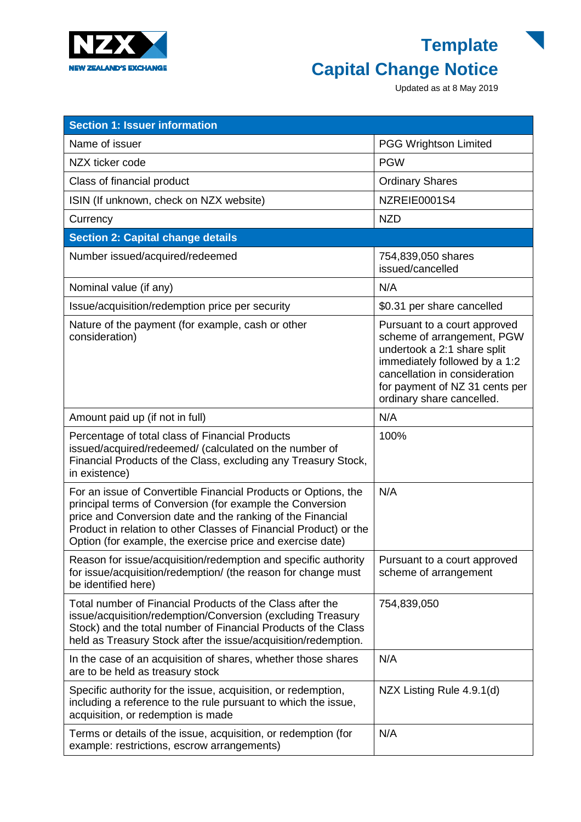

## **Template Capital Change Notice**

Updated as at 8 May 2019

| <b>Section 1: Issuer information</b>                                                                                                                                                                                                                                                                                         |                                                                                                                                                                                                                            |
|------------------------------------------------------------------------------------------------------------------------------------------------------------------------------------------------------------------------------------------------------------------------------------------------------------------------------|----------------------------------------------------------------------------------------------------------------------------------------------------------------------------------------------------------------------------|
| Name of issuer                                                                                                                                                                                                                                                                                                               | <b>PGG Wrightson Limited</b>                                                                                                                                                                                               |
| NZX ticker code                                                                                                                                                                                                                                                                                                              | <b>PGW</b>                                                                                                                                                                                                                 |
| Class of financial product                                                                                                                                                                                                                                                                                                   | <b>Ordinary Shares</b>                                                                                                                                                                                                     |
| ISIN (If unknown, check on NZX website)                                                                                                                                                                                                                                                                                      | NZREIE0001S4                                                                                                                                                                                                               |
| Currency                                                                                                                                                                                                                                                                                                                     | <b>NZD</b>                                                                                                                                                                                                                 |
| <b>Section 2: Capital change details</b>                                                                                                                                                                                                                                                                                     |                                                                                                                                                                                                                            |
| Number issued/acquired/redeemed                                                                                                                                                                                                                                                                                              | 754,839,050 shares<br>issued/cancelled                                                                                                                                                                                     |
| Nominal value (if any)                                                                                                                                                                                                                                                                                                       | N/A                                                                                                                                                                                                                        |
| Issue/acquisition/redemption price per security                                                                                                                                                                                                                                                                              | \$0.31 per share cancelled                                                                                                                                                                                                 |
| Nature of the payment (for example, cash or other<br>consideration)                                                                                                                                                                                                                                                          | Pursuant to a court approved<br>scheme of arrangement, PGW<br>undertook a 2:1 share split<br>immediately followed by a 1:2<br>cancellation in consideration<br>for payment of NZ 31 cents per<br>ordinary share cancelled. |
| Amount paid up (if not in full)                                                                                                                                                                                                                                                                                              | N/A                                                                                                                                                                                                                        |
| Percentage of total class of Financial Products<br>issued/acquired/redeemed/ (calculated on the number of<br>Financial Products of the Class, excluding any Treasury Stock,<br>in existence)                                                                                                                                 | 100%                                                                                                                                                                                                                       |
| For an issue of Convertible Financial Products or Options, the<br>principal terms of Conversion (for example the Conversion<br>price and Conversion date and the ranking of the Financial<br>Product in relation to other Classes of Financial Product) or the<br>Option (for example, the exercise price and exercise date) | N/A                                                                                                                                                                                                                        |
| Reason for issue/acquisition/redemption and specific authority<br>for issue/acquisition/redemption/ (the reason for change must<br>be identified here)                                                                                                                                                                       | Pursuant to a court approved<br>scheme of arrangement                                                                                                                                                                      |
| Total number of Financial Products of the Class after the<br>issue/acquisition/redemption/Conversion (excluding Treasury<br>Stock) and the total number of Financial Products of the Class<br>held as Treasury Stock after the issue/acquisition/redemption.                                                                 | 754,839,050                                                                                                                                                                                                                |
| In the case of an acquisition of shares, whether those shares<br>are to be held as treasury stock                                                                                                                                                                                                                            | N/A                                                                                                                                                                                                                        |
| Specific authority for the issue, acquisition, or redemption,<br>including a reference to the rule pursuant to which the issue,<br>acquisition, or redemption is made                                                                                                                                                        | NZX Listing Rule 4.9.1(d)                                                                                                                                                                                                  |
| Terms or details of the issue, acquisition, or redemption (for<br>example: restrictions, escrow arrangements)                                                                                                                                                                                                                | N/A                                                                                                                                                                                                                        |